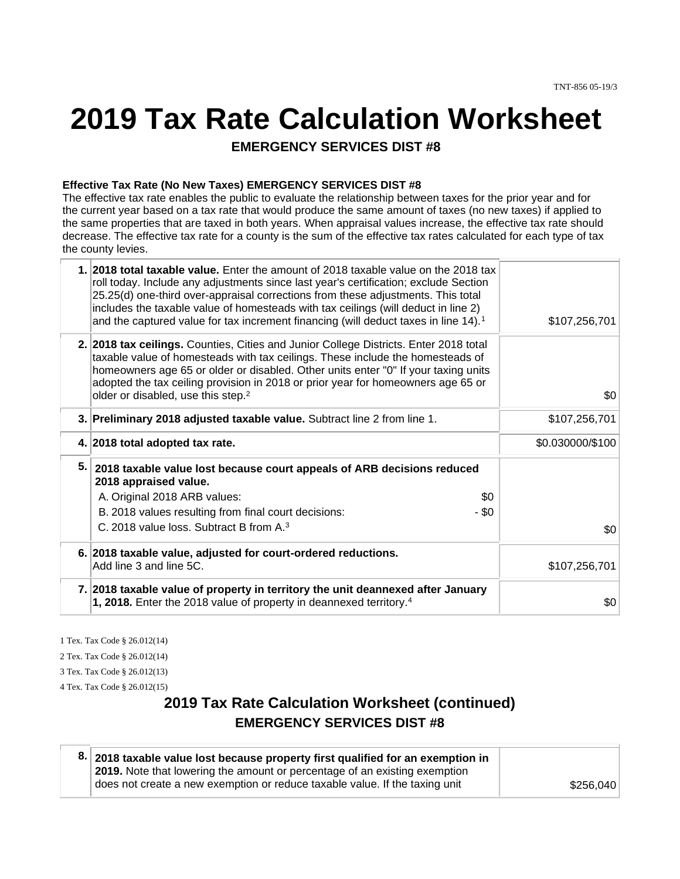# **2019 Tax Rate Calculation Worksheet**

**EMERGENCY SERVICES DIST #8** 

#### **Effective Tax Rate (No New Taxes) EMERGENCY SERVICES DIST #8**

The effective tax rate enables the public to evaluate the relationship between taxes for the prior year and for the current year based on a tax rate that would produce the same amount of taxes (no new taxes) if applied to the same properties that are taxed in both years. When appraisal values increase, the effective tax rate should decrease. The effective tax rate for a county is the sum of the effective tax rates calculated for each type of tax the county levies.

|    | 1. 2018 total taxable value. Enter the amount of 2018 taxable value on the 2018 tax<br>roll today. Include any adjustments since last year's certification; exclude Section<br>25.25(d) one-third over-appraisal corrections from these adjustments. This total<br>includes the taxable value of homesteads with tax ceilings (will deduct in line 2)<br>and the captured value for tax increment financing (will deduct taxes in line 14). <sup>1</sup> | \$107,256,701    |
|----|----------------------------------------------------------------------------------------------------------------------------------------------------------------------------------------------------------------------------------------------------------------------------------------------------------------------------------------------------------------------------------------------------------------------------------------------------------|------------------|
|    | 2. 2018 tax ceilings. Counties, Cities and Junior College Districts. Enter 2018 total<br>taxable value of homesteads with tax ceilings. These include the homesteads of<br>homeowners age 65 or older or disabled. Other units enter "0" If your taxing units<br>adopted the tax ceiling provision in 2018 or prior year for homeowners age 65 or<br>older or disabled, use this step. <sup>2</sup>                                                      | \$0              |
|    | 3. Preliminary 2018 adjusted taxable value. Subtract line 2 from line 1.                                                                                                                                                                                                                                                                                                                                                                                 | \$107,256,701    |
|    | 4. 2018 total adopted tax rate.                                                                                                                                                                                                                                                                                                                                                                                                                          | \$0.030000/\$100 |
| 5. | 2018 taxable value lost because court appeals of ARB decisions reduced<br>2018 appraised value.<br>\$0<br>A. Original 2018 ARB values:                                                                                                                                                                                                                                                                                                                   |                  |
|    | B. 2018 values resulting from final court decisions:<br>- \$0                                                                                                                                                                                                                                                                                                                                                                                            |                  |
|    | C. 2018 value loss. Subtract B from A. <sup>3</sup>                                                                                                                                                                                                                                                                                                                                                                                                      | \$0              |
|    | 6. 2018 taxable value, adjusted for court-ordered reductions.<br>Add line 3 and line 5C.                                                                                                                                                                                                                                                                                                                                                                 | \$107,256,701    |
|    | 7. 2018 taxable value of property in territory the unit deannexed after January<br>1, 2018. Enter the 2018 value of property in deannexed territory. <sup>4</sup>                                                                                                                                                                                                                                                                                        | \$0              |

1 Tex. Tax Code § 26.012(14)

2 Tex. Tax Code § 26.012(14)

3 Tex. Tax Code § 26.012(13)

4 Tex. Tax Code § 26.012(15)

# **2019 Tax Rate Calculation Worksheet (continued) EMERGENCY SERVICES DIST #8**

| 8. 2018 taxable value lost because property first qualified for an exemption in |           |
|---------------------------------------------------------------------------------|-----------|
| 2019. Note that lowering the amount or percentage of an existing exemption      |           |
| does not create a new exemption or reduce taxable value. If the taxing unit     | \$256,040 |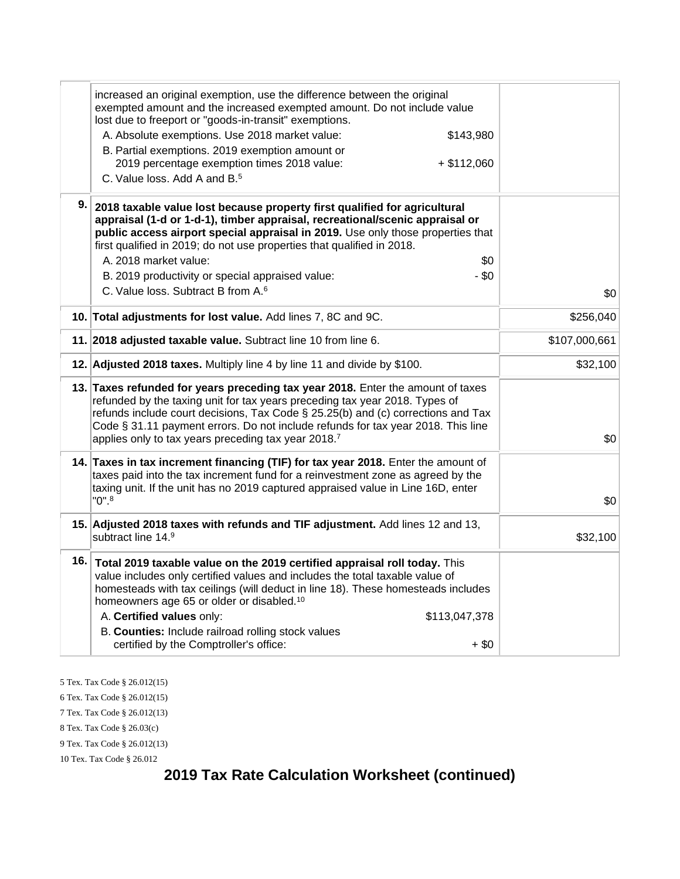|               | increased an original exemption, use the difference between the original<br>exempted amount and the increased exempted amount. Do not include value<br>lost due to freeport or "goods-in-transit" exemptions.                                                                                                                                                                                 |  |
|---------------|-----------------------------------------------------------------------------------------------------------------------------------------------------------------------------------------------------------------------------------------------------------------------------------------------------------------------------------------------------------------------------------------------|--|
|               | A. Absolute exemptions. Use 2018 market value:<br>\$143,980                                                                                                                                                                                                                                                                                                                                   |  |
|               | B. Partial exemptions. 2019 exemption amount or                                                                                                                                                                                                                                                                                                                                               |  |
|               | 2019 percentage exemption times 2018 value:<br>$+ $112,060$                                                                                                                                                                                                                                                                                                                                   |  |
|               | C. Value loss, Add A and B. <sup>5</sup>                                                                                                                                                                                                                                                                                                                                                      |  |
|               |                                                                                                                                                                                                                                                                                                                                                                                               |  |
|               | 9. 2018 taxable value lost because property first qualified for agricultural                                                                                                                                                                                                                                                                                                                  |  |
|               | appraisal (1-d or 1-d-1), timber appraisal, recreational/scenic appraisal or                                                                                                                                                                                                                                                                                                                  |  |
|               | public access airport special appraisal in 2019. Use only those properties that                                                                                                                                                                                                                                                                                                               |  |
|               | first qualified in 2019; do not use properties that qualified in 2018.                                                                                                                                                                                                                                                                                                                        |  |
|               | A. 2018 market value:<br>\$0                                                                                                                                                                                                                                                                                                                                                                  |  |
|               | $-$ \$0<br>B. 2019 productivity or special appraised value:                                                                                                                                                                                                                                                                                                                                   |  |
| \$0           | C. Value loss. Subtract B from A. <sup>6</sup>                                                                                                                                                                                                                                                                                                                                                |  |
| \$256,040     | 10. Total adjustments for lost value. Add lines 7, 8C and 9C.                                                                                                                                                                                                                                                                                                                                 |  |
| \$107,000,661 | 11. 2018 adjusted taxable value. Subtract line 10 from line 6.                                                                                                                                                                                                                                                                                                                                |  |
| \$32,100      | 12. Adjusted 2018 taxes. Multiply line 4 by line 11 and divide by \$100.                                                                                                                                                                                                                                                                                                                      |  |
| \$0           | 13. Taxes refunded for years preceding tax year 2018. Enter the amount of taxes<br>refunded by the taxing unit for tax years preceding tax year 2018. Types of<br>refunds include court decisions, Tax Code § 25.25(b) and (c) corrections and Tax<br>Code § 31.11 payment errors. Do not include refunds for tax year 2018. This line<br>applies only to tax years preceding tax year 2018.7 |  |
|               | 14. Taxes in tax increment financing (TIF) for tax year 2018. Enter the amount of                                                                                                                                                                                                                                                                                                             |  |
|               | taxes paid into the tax increment fund for a reinvestment zone as agreed by the                                                                                                                                                                                                                                                                                                               |  |
|               | taxing unit. If the unit has no 2019 captured appraised value in Line 16D, enter                                                                                                                                                                                                                                                                                                              |  |
| \$0           | $"0"$ .                                                                                                                                                                                                                                                                                                                                                                                       |  |
|               | 15. Adjusted 2018 taxes with refunds and TIF adjustment. Add lines 12 and 13,                                                                                                                                                                                                                                                                                                                 |  |
| \$32,100      | subtract line 14.9                                                                                                                                                                                                                                                                                                                                                                            |  |
|               | 16. Total 2019 taxable value on the 2019 certified appraisal roll today. This                                                                                                                                                                                                                                                                                                                 |  |
|               | value includes only certified values and includes the total taxable value of                                                                                                                                                                                                                                                                                                                  |  |
|               | homesteads with tax ceilings (will deduct in line 18). These homesteads includes                                                                                                                                                                                                                                                                                                              |  |
|               | homeowners age 65 or older or disabled. <sup>10</sup>                                                                                                                                                                                                                                                                                                                                         |  |
|               | A. Certified values only:<br>\$113,047,378                                                                                                                                                                                                                                                                                                                                                    |  |
|               | B. Counties: Include railroad rolling stock values                                                                                                                                                                                                                                                                                                                                            |  |
|               | certified by the Comptroller's office:<br>$+$ \$0                                                                                                                                                                                                                                                                                                                                             |  |

5 Tex. Tax Code § 26.012(15)

6 Tex. Tax Code § 26.012(15)

7 Tex. Tax Code § 26.012(13)

8 Tex. Tax Code § 26.03(c)

9 Tex. Tax Code § 26.012(13)

10 Tex. Tax Code § 26.012

# **2019 Tax Rate Calculation Worksheet (continued)**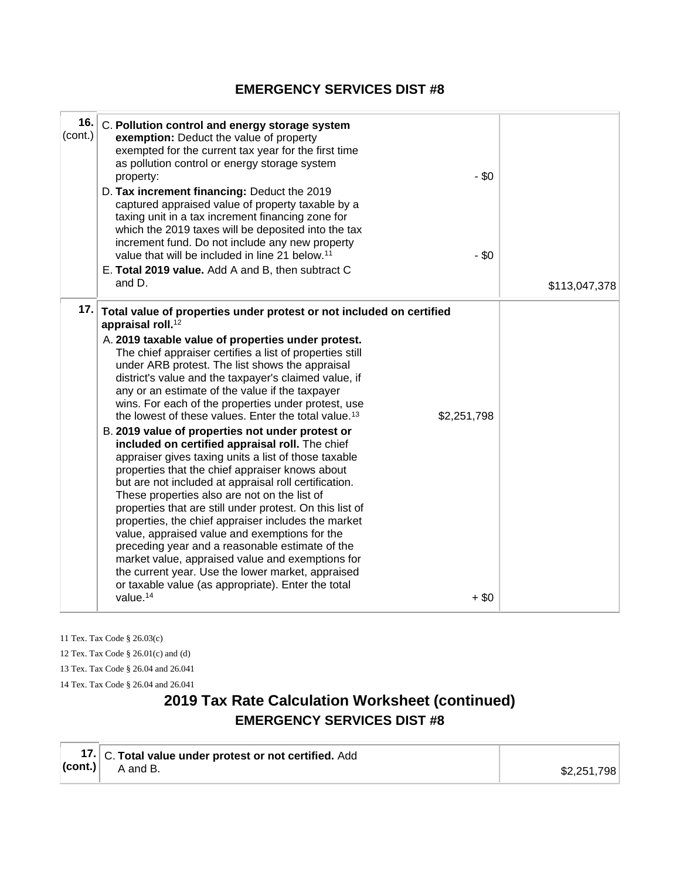# **EMERGENCY SERVICES DIST #8**

| 16.<br>(cont.) | C. Pollution control and energy storage system<br>exemption: Deduct the value of property<br>exempted for the current tax year for the first time<br>as pollution control or energy storage system<br>$-$ \$0<br>property:<br>D. Tax increment financing: Deduct the 2019<br>captured appraised value of property taxable by a<br>taxing unit in a tax increment financing zone for<br>which the 2019 taxes will be deposited into the tax<br>increment fund. Do not include any new property<br>$-$ \$0<br>value that will be included in line 21 below. <sup>11</sup><br>E. Total 2019 value. Add A and B, then subtract C<br>and D.                                                                                                                                                                                                                                                                                                                                                                                                                                                                                                                                                                                                                                               | \$113,047,378 |
|----------------|--------------------------------------------------------------------------------------------------------------------------------------------------------------------------------------------------------------------------------------------------------------------------------------------------------------------------------------------------------------------------------------------------------------------------------------------------------------------------------------------------------------------------------------------------------------------------------------------------------------------------------------------------------------------------------------------------------------------------------------------------------------------------------------------------------------------------------------------------------------------------------------------------------------------------------------------------------------------------------------------------------------------------------------------------------------------------------------------------------------------------------------------------------------------------------------------------------------------------------------------------------------------------------------|---------------|
| 17.            | Total value of properties under protest or not included on certified<br>appraisal roll. <sup>12</sup><br>A. 2019 taxable value of properties under protest.<br>The chief appraiser certifies a list of properties still<br>under ARB protest. The list shows the appraisal<br>district's value and the taxpayer's claimed value, if<br>any or an estimate of the value if the taxpayer<br>wins. For each of the properties under protest, use<br>the lowest of these values. Enter the total value. <sup>13</sup><br>\$2,251,798<br>B. 2019 value of properties not under protest or<br>included on certified appraisal roll. The chief<br>appraiser gives taxing units a list of those taxable<br>properties that the chief appraiser knows about<br>but are not included at appraisal roll certification.<br>These properties also are not on the list of<br>properties that are still under protest. On this list of<br>properties, the chief appraiser includes the market<br>value, appraised value and exemptions for the<br>preceding year and a reasonable estimate of the<br>market value, appraised value and exemptions for<br>the current year. Use the lower market, appraised<br>or taxable value (as appropriate). Enter the total<br>value. <sup>14</sup><br>$+$ \$0 |               |

11 Tex. Tax Code § 26.03(c) 12 Tex. Tax Code § 26.01(c) and (d) 13 Tex. Tax Code § 26.04 and 26.041 14 Tex. Tax Code § 26.04 and 26.041

# **2019 Tax Rate Calculation Worksheet (continued) EMERGENCY SERVICES DIST #8**

| 17. C. Total value under protest or not certified. Add (cont.) $\begin{bmatrix} 1 & 0 \\ 0 & A \end{bmatrix}$ A and B. |             |
|------------------------------------------------------------------------------------------------------------------------|-------------|
|                                                                                                                        | \$2,251,798 |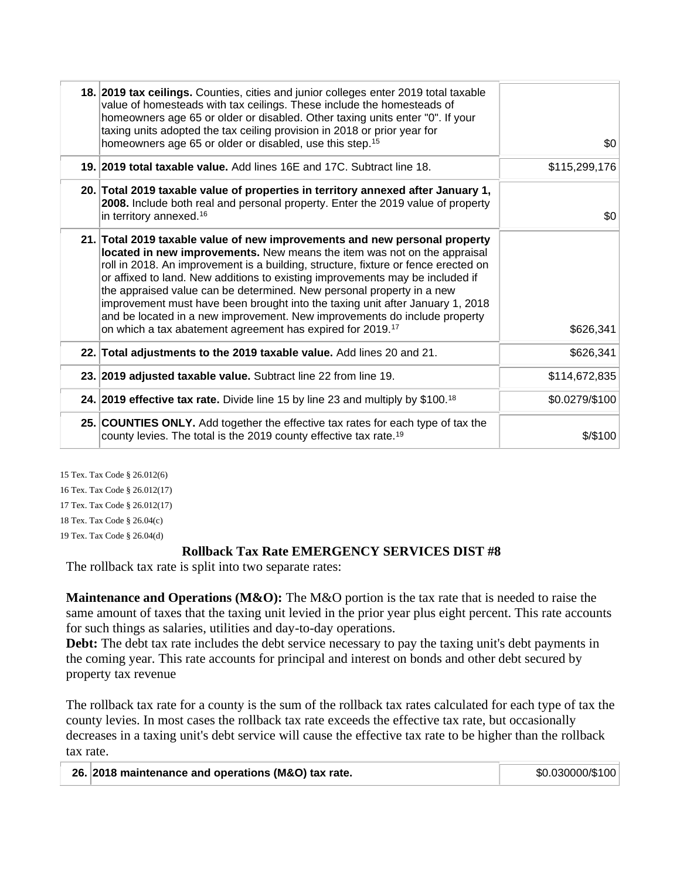| 18. 2019 tax ceilings. Counties, cities and junior colleges enter 2019 total taxable<br>value of homesteads with tax ceilings. These include the homesteads of<br>homeowners age 65 or older or disabled. Other taxing units enter "0". If your<br>taxing units adopted the tax ceiling provision in 2018 or prior year for<br>homeowners age 65 or older or disabled, use this step. <sup>15</sup>                                                                                                                                                                                                                                            | \$0            |
|------------------------------------------------------------------------------------------------------------------------------------------------------------------------------------------------------------------------------------------------------------------------------------------------------------------------------------------------------------------------------------------------------------------------------------------------------------------------------------------------------------------------------------------------------------------------------------------------------------------------------------------------|----------------|
| 19. 2019 total taxable value. Add lines 16E and 17C. Subtract line 18.                                                                                                                                                                                                                                                                                                                                                                                                                                                                                                                                                                         | \$115,299,176  |
| 20. Total 2019 taxable value of properties in territory annexed after January 1,<br>2008. Include both real and personal property. Enter the 2019 value of property<br>in territory annexed. <sup>16</sup>                                                                                                                                                                                                                                                                                                                                                                                                                                     | \$0            |
| 21. Total 2019 taxable value of new improvements and new personal property<br>located in new improvements. New means the item was not on the appraisal<br>roll in 2018. An improvement is a building, structure, fixture or fence erected on<br>or affixed to land. New additions to existing improvements may be included if<br>the appraised value can be determined. New personal property in a new<br>improvement must have been brought into the taxing unit after January 1, 2018<br>and be located in a new improvement. New improvements do include property<br>on which a tax abatement agreement has expired for 2019. <sup>17</sup> | \$626,341      |
| 22. Total adjustments to the 2019 taxable value. Add lines 20 and 21.                                                                                                                                                                                                                                                                                                                                                                                                                                                                                                                                                                          | \$626,341      |
| 23. 2019 adjusted taxable value. Subtract line 22 from line 19.                                                                                                                                                                                                                                                                                                                                                                                                                                                                                                                                                                                | \$114,672,835  |
| 24. 2019 effective tax rate. Divide line 15 by line 23 and multiply by \$100. <sup>18</sup>                                                                                                                                                                                                                                                                                                                                                                                                                                                                                                                                                    | \$0.0279/\$100 |
| 25. COUNTIES ONLY. Add together the effective tax rates for each type of tax the<br>county levies. The total is the 2019 county effective tax rate. <sup>19</sup>                                                                                                                                                                                                                                                                                                                                                                                                                                                                              | $$$ /\$100     |
|                                                                                                                                                                                                                                                                                                                                                                                                                                                                                                                                                                                                                                                |                |

15 Tex. Tax Code § 26.012(6) 16 Tex. Tax Code § 26.012(17) 17 Tex. Tax Code § 26.012(17) 18 Tex. Tax Code § 26.04(c) 19 Tex. Tax Code § 26.04(d)

## **Rollback Tax Rate EMERGENCY SERVICES DIST #8**

The rollback tax rate is split into two separate rates:

Maintenance and Operations (M&O): The M&O portion is the tax rate that is needed to raise the same amount of taxes that the taxing unit levied in the prior year plus eight percent. This rate accounts for such things as salaries, utilities and day-to-day operations.

**Debt:** The debt tax rate includes the debt service necessary to pay the taxing unit's debt payments in the coming year. This rate accounts for principal and interest on bonds and other debt secured by property tax revenue

The rollback tax rate for a county is the sum of the rollback tax rates calculated for each type of tax the county levies. In most cases the rollback tax rate exceeds the effective tax rate, but occasionally decreases in a taxing unit's debt service will cause the effective tax rate to be higher than the rollback tax rate.

| 26. 2018 maintenance and operations (M&O) tax rate. | \$0.030000/\$100 |
|-----------------------------------------------------|------------------|
|-----------------------------------------------------|------------------|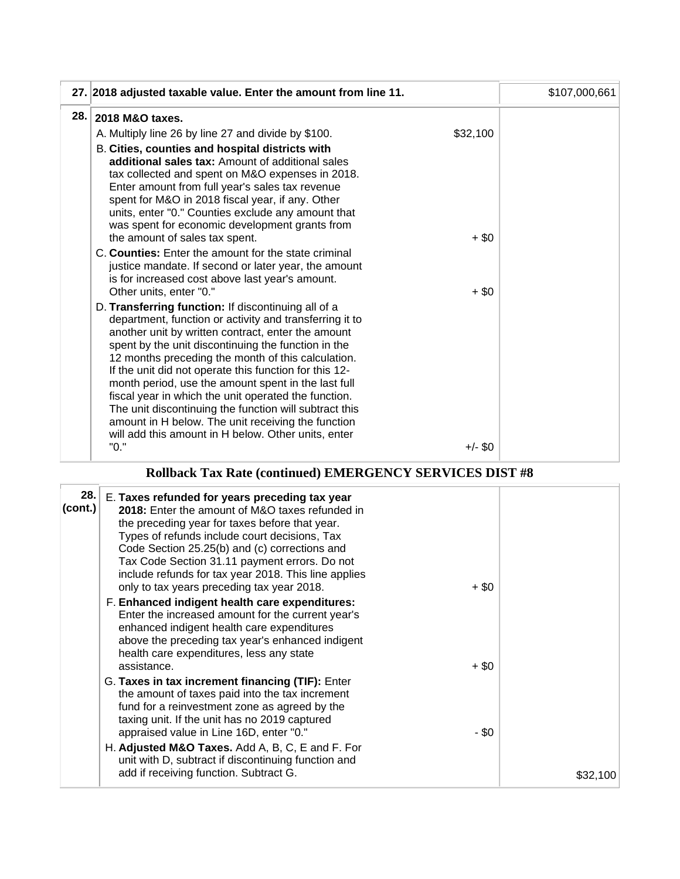|     | 27. 2018 adjusted taxable value. Enter the amount from line 11.                                                                                                                                                                                                                                                                                                                                                                                                                                                                                                                                                                   |                   | \$107,000,661 |
|-----|-----------------------------------------------------------------------------------------------------------------------------------------------------------------------------------------------------------------------------------------------------------------------------------------------------------------------------------------------------------------------------------------------------------------------------------------------------------------------------------------------------------------------------------------------------------------------------------------------------------------------------------|-------------------|---------------|
| 28. | 2018 M&O taxes.                                                                                                                                                                                                                                                                                                                                                                                                                                                                                                                                                                                                                   |                   |               |
|     | A. Multiply line 26 by line 27 and divide by \$100.                                                                                                                                                                                                                                                                                                                                                                                                                                                                                                                                                                               | \$32,100          |               |
|     | B. Cities, counties and hospital districts with<br>additional sales tax: Amount of additional sales<br>tax collected and spent on M&O expenses in 2018.<br>Enter amount from full year's sales tax revenue<br>spent for M&O in 2018 fiscal year, if any. Other<br>units, enter "0." Counties exclude any amount that<br>was spent for economic development grants from                                                                                                                                                                                                                                                            |                   |               |
|     | the amount of sales tax spent.<br>C. Counties: Enter the amount for the state criminal<br>justice mandate. If second or later year, the amount<br>is for increased cost above last year's amount.<br>Other units, enter "0."                                                                                                                                                                                                                                                                                                                                                                                                      | $+$ \$0<br>$+ $0$ |               |
|     | D. Transferring function: If discontinuing all of a<br>department, function or activity and transferring it to<br>another unit by written contract, enter the amount<br>spent by the unit discontinuing the function in the<br>12 months preceding the month of this calculation.<br>If the unit did not operate this function for this 12-<br>month period, use the amount spent in the last full<br>fiscal year in which the unit operated the function.<br>The unit discontinuing the function will subtract this<br>amount in H below. The unit receiving the function<br>will add this amount in H below. Other units, enter |                   |               |
|     | "0."                                                                                                                                                                                                                                                                                                                                                                                                                                                                                                                                                                                                                              | $+/-$ \$0         |               |

# **Rollback Tax Rate (continued) EMERGENCY SERVICES DIST #8**

| (cont.) | 28. E. Taxes refunded for years preceding tax year<br>2018: Enter the amount of M&O taxes refunded in<br>the preceding year for taxes before that year.<br>Types of refunds include court decisions, Tax<br>Code Section 25.25(b) and (c) corrections and<br>Tax Code Section 31.11 payment errors. Do not<br>include refunds for tax year 2018. This line applies<br>only to tax years preceding tax year 2018. | $+$ \$0 |          |
|---------|------------------------------------------------------------------------------------------------------------------------------------------------------------------------------------------------------------------------------------------------------------------------------------------------------------------------------------------------------------------------------------------------------------------|---------|----------|
|         | F. Enhanced indigent health care expenditures:<br>Enter the increased amount for the current year's<br>enhanced indigent health care expenditures<br>above the preceding tax year's enhanced indigent<br>health care expenditures, less any state<br>assistance.                                                                                                                                                 | $+$ \$0 |          |
|         | G. Taxes in tax increment financing (TIF): Enter<br>the amount of taxes paid into the tax increment<br>fund for a reinvestment zone as agreed by the<br>taxing unit. If the unit has no 2019 captured<br>appraised value in Line 16D, enter "0."                                                                                                                                                                 | - \$0   |          |
|         | H. Adjusted M&O Taxes. Add A, B, C, E and F. For<br>unit with D, subtract if discontinuing function and<br>add if receiving function. Subtract G.                                                                                                                                                                                                                                                                |         | \$32,100 |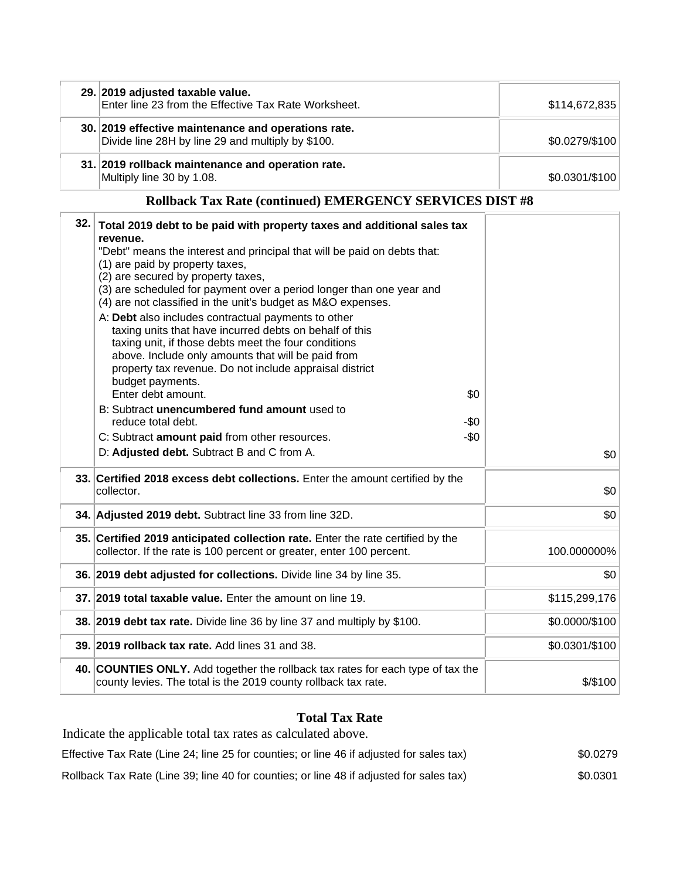| 29. 2019 adjusted taxable value.<br>Enter line 23 from the Effective Tax Rate Worksheet.                 | \$114,672,835   |
|----------------------------------------------------------------------------------------------------------|-----------------|
| 30. 2019 effective maintenance and operations rate.<br>Divide line 28H by line 29 and multiply by \$100. | \$0.0279/\$100  |
| 31. 2019 rollback maintenance and operation rate.<br>Multiply line 30 by 1.08.                           | $$0.0301/\$100$ |

# **Rollback Tax Rate (continued) EMERGENCY SERVICES DIST #8**

| 32. | Total 2019 debt to be paid with property taxes and additional sales tax<br>revenue.<br>"Debt" means the interest and principal that will be paid on debts that:<br>(1) are paid by property taxes,<br>(2) are secured by property taxes,<br>(3) are scheduled for payment over a period longer than one year and<br>(4) are not classified in the unit's budget as M&O expenses.<br>A: Debt also includes contractual payments to other<br>taxing units that have incurred debts on behalf of this<br>taxing unit, if those debts meet the four conditions<br>above. Include only amounts that will be paid from<br>property tax revenue. Do not include appraisal district |                |
|-----|-----------------------------------------------------------------------------------------------------------------------------------------------------------------------------------------------------------------------------------------------------------------------------------------------------------------------------------------------------------------------------------------------------------------------------------------------------------------------------------------------------------------------------------------------------------------------------------------------------------------------------------------------------------------------------|----------------|
|     | budget payments.<br>Enter debt amount.<br>\$0                                                                                                                                                                                                                                                                                                                                                                                                                                                                                                                                                                                                                               |                |
|     | B: Subtract unencumbered fund amount used to<br>reduce total debt.<br>-\$0                                                                                                                                                                                                                                                                                                                                                                                                                                                                                                                                                                                                  |                |
|     | $-\$0$<br>C: Subtract amount paid from other resources.                                                                                                                                                                                                                                                                                                                                                                                                                                                                                                                                                                                                                     |                |
|     | D: Adjusted debt. Subtract B and C from A.                                                                                                                                                                                                                                                                                                                                                                                                                                                                                                                                                                                                                                  | \$0            |
|     | 33. Certified 2018 excess debt collections. Enter the amount certified by the<br>collector.                                                                                                                                                                                                                                                                                                                                                                                                                                                                                                                                                                                 | \$0            |
|     | 34. Adjusted 2019 debt. Subtract line 33 from line 32D.                                                                                                                                                                                                                                                                                                                                                                                                                                                                                                                                                                                                                     | \$0            |
|     | 35. Certified 2019 anticipated collection rate. Enter the rate certified by the<br>collector. If the rate is 100 percent or greater, enter 100 percent.                                                                                                                                                                                                                                                                                                                                                                                                                                                                                                                     | 100.000000%    |
|     | 36. 2019 debt adjusted for collections. Divide line 34 by line 35.                                                                                                                                                                                                                                                                                                                                                                                                                                                                                                                                                                                                          | \$0            |
|     | 37. 2019 total taxable value. Enter the amount on line 19.                                                                                                                                                                                                                                                                                                                                                                                                                                                                                                                                                                                                                  | \$115,299,176  |
|     | 38. 2019 debt tax rate. Divide line 36 by line 37 and multiply by \$100.                                                                                                                                                                                                                                                                                                                                                                                                                                                                                                                                                                                                    | \$0.0000/\$100 |
|     | 39. 2019 rollback tax rate. Add lines 31 and 38.                                                                                                                                                                                                                                                                                                                                                                                                                                                                                                                                                                                                                            | \$0.0301/\$100 |
|     | 40. COUNTIES ONLY. Add together the rollback tax rates for each type of tax the<br>county levies. The total is the 2019 county rollback tax rate.                                                                                                                                                                                                                                                                                                                                                                                                                                                                                                                           | \$/\$100       |

## **Total Tax Rate**

Indicate the applicable total tax rates as calculated above. Effective Tax Rate (Line 24; line 25 for counties; or line 46 if adjusted for sales tax) \$0.0279 Rollback Tax Rate (Line 39; line 40 for counties; or line 48 if adjusted for sales tax) \$0.0301